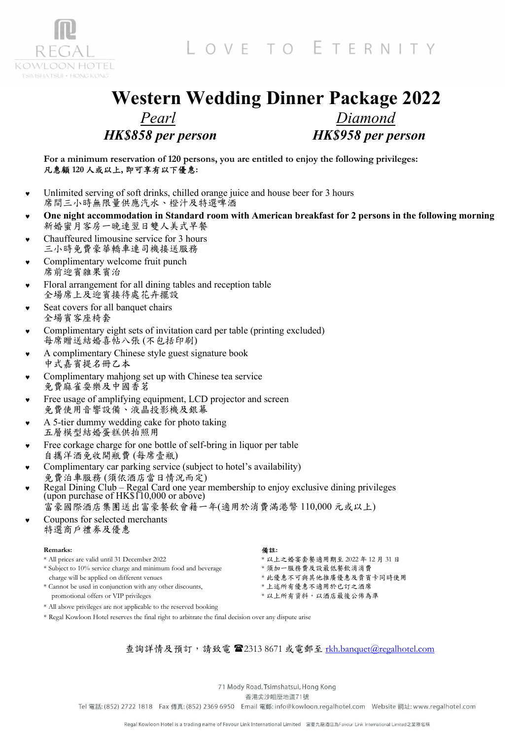LOVE TO ETERNITY



#### Western Wedding Dinner Package 2022 Pearl HK\$858 per person Diamond HK\$958 per person

For a minimum reservation of 120 persons, you are entitled to enjoy the following privileges: 凡惠顧 120 人或以上, 即可享有以下優惠:

- Unlimited serving of soft drinks, chilled orange juice and house beer for 3 hours 席間三小時無限量供應汽水、橙汁及特選啤酒
- One night accommodation in Standard room with American breakfast for 2 persons in the following morning 新婚蜜月客房一晚連翌日雙人美式早餐
- Chauffeured limousine service for 3 hours 三小時免費豪華轎車連司機接送服務
- Complimentary welcome fruit punch 席前迎賓雜果賓治
- Floral arrangement for all dining tables and reception table 全場席上及迎賓接待處花卉擺設
- Seat covers for all banquet chairs 全場賓客座椅套
- Complimentary eight sets of invitation card per table (printing excluded) 每席贈送結婚喜帖八張 (不包括印刷)
- A complimentary Chinese style guest signature book 中式嘉賓提名冊乙本
- Complimentary mahjong set up with Chinese tea service 免費麻雀耍樂及中國香茗
- Free usage of amplifying equipment, LCD projector and screen 免費使用音響設備、液晶投影機及銀幕
- A 5-tier dummy wedding cake for photo taking 五層模型結婚蛋糕供拍照用
- Free corkage charge for one bottle of self-bring in liquor per table 自攜洋酒免收開瓶費 (每席壹瓶)
- Complimentary car parking service (subject to hotel's availability) 免費泊車服務 (須依酒店當日情況而定)
- Regal Dining Club Regal Card one year membership to enjoy exclusive dining privileges (upon purchase of  $HK$110,000$  or above)
	- 富豪國際酒店集團送出富豪餐飲會籍一年(適用於消費滿港幣 110,000 元或以上)
- Coupons for selected merchants 特選商戶禮劵及優惠

| Remarks:                                                          | 備註:                            |
|-------------------------------------------------------------------|--------------------------------|
| * All prices are valid until 31 December 2022                     | * 以上之婚宴套餐適用期至 2022 年 12 月 31 日 |
| * Subject to 10% service charge and minimum food and beverage     | *須加一服務費及設最低餐飲消消費               |
| charge will be applied on different venues                        | * 此優惠不可與其他推廣優惠及貴賓卡同時使用         |
| * Cannot be used in conjunction with any other discounts,         | * 上述所有優惠不適用於已訂之酒席              |
| promotional offers or VIP privileges                              | * 以上所有資料, 以酒店最後公佈為準            |
| * All above privileges are not applicable to the reserved booking |                                |

\* Regal Kowloon Hotel reserves the final right to arbitrate the final decision over any dispute arise

#### 查詢詳情及預訂,請致電 2313 8671 或電郵至 rkh.banquet@regalhotel.com

71 Mody Road, Tsimshatsui, Hong Kong

香港尖沙咀麼地道71號

Tel 電話: (852) 2722 1818 Fax 傳真: (852) 2369 6950 Email 電郵: info@kowloon.regalhotel.com Website 網址: www.regalhotel.com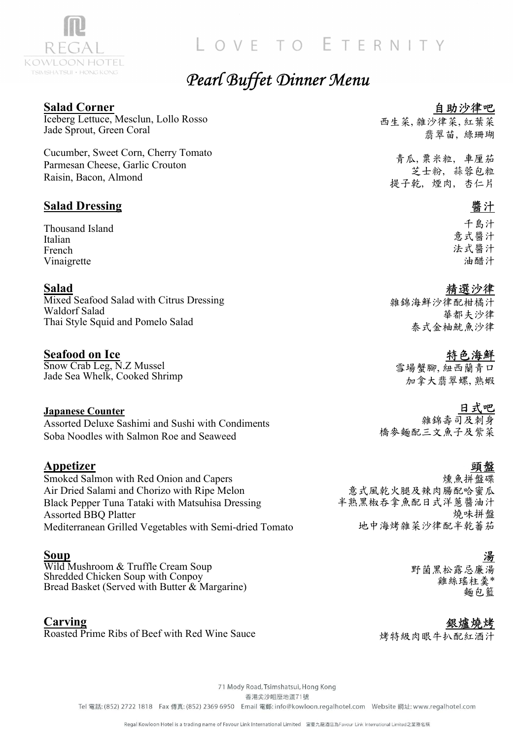

### LOVE TO ETERNITY

### Pearl Buffet Dinner Menu

#### Salad Corner

Iceberg Lettuce, Mesclun, Lollo Rosso Jade Sprout, Green Coral

Cucumber, Sweet Corn, Cherry Tomato Parmesan Cheese, Garlic Crouton Raisin, Bacon, Almond

#### Salad Dressing

Thousand Island Italian French Vinaigrette

#### Salad

Mixed Seafood Salad with Citrus Dressing Waldorf Salad Thai Style Squid and Pomelo Salad

### Seafood on Ice

Snow Crab Leg, N.Z Mussel Jade Sea Whelk, Cooked Shrimp

#### Japanese Counter

Assorted Deluxe Sashimi and Sushi with Condiments Soba Noodles with Salmon Roe and Seaweed

#### Appetizer

Smoked Salmon with Red Onion and Capers Air Dried Salami and Chorizo with Ripe Melon Black Pepper Tuna Tataki with Matsuhisa Dressing Assorted BBQ Platter Mediterranean Grilled Vegetables with Semi-dried Tomato

#### Soup

Wild Mushroom & Truffle Cream Soup Shredded Chicken Soup with Conpoy Bread Basket (Served with Butter & Margarine)

#### **Carving**

Roasted Prime Ribs of Beef with Red Wine Sauce

#### 自助沙律吧

西生菜, 雜沙律菜, 紅葉菜 翡翠苗, 綠珊瑚

青瓜,粟米粒, 車厘茄 芝士粉, 蒜蓉包粒 提子乾, 煙肉, 杏仁片

#### 醬汁

千島汁 意式醬汁 法式醬汁 油醋汁

#### 精選沙律

雜錦海鮮沙律配柑橘汁 華都夫沙律 泰式金柚魷魚沙律

#### 特色海鮮

雪場蟹腳, 紐西蘭青口 加拿大翡翠螺, 熟蝦

#### 日式吧

雜錦壽司及刺身 橋麥麵配三文魚子及紫菜

# 頭盤

燻魚拼盤碟 意式風乾火腿及辣肉腸配哈蜜瓜 半熟黑椒吞拿魚配日式洋蔥醬油汁 燒味拼盤 地中海烤雜菜沙律配半乾蕃茄

# 湯

野菌黑松露忌廉湯 雞絲瑤柱羹\* 麵包籃

#### 銀爐燒烤

烤特級肉眼牛扒配紅酒汁

71 Mody Road, Tsimshatsui, Hong Kong 香港尖沙咀麼地道71號 Tel 電話: (852) 2722 1818 Fax 傳真: (852) 2369 6950 Email 電郵: info@kowloon.regalhotel.com Website 網址: www.regalhotel.com